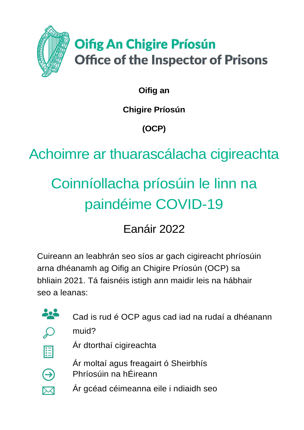

**Oifig an** 

**Chigire Príosún**

**(OCP)**

Achoimre ar thuarascálacha cigireachta

# Coinníollacha príosúin le linn na paindéime COVID-19

Eanáir 2022

Cuireann an leabhrán seo síos ar gach cigireacht phríosúin arna dhéanamh ag Oifig an Chigire Príosún (OCP) sa bhliain 2021. Tá faisnéis istigh ann maidir leis na hábhair seo a leanas:



Cad is rud é OCP agus cad iad na rudaí a dhéanann



muid?



⊖

Ár dtorthaí cigireachta

Ár moltaí agus freagairt ó Sheirbhís Phríosúin na hÉireann

Ár gcéad céimeanna eile i ndiaidh seo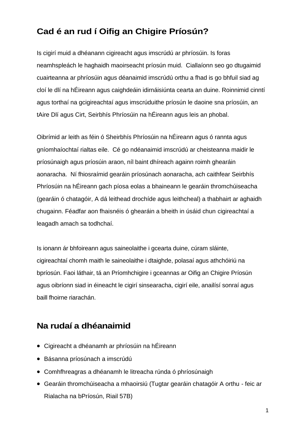# **Cad é an rud í Oifig an Chigire Príosún?**

Is cigirí muid a dhéanann cigireacht agus imscrúdú ar phríosúin. Is foras neamhspleách le haghaidh maoirseacht príosún muid. Ciallaíonn seo go dtugaimid cuairteanna ar phríosúin agus déanaimid imscrúdú orthu a fhad is go bhfuil siad ag cloí le dlí na hÉireann agus caighdeáin idirnáisiúnta cearta an duine. Roinnimid cinntí agus torthaí na gcigireachtaí agus imscrúduithe príosún le daoine sna príosúin, an tAire Dlí agus Cirt, Seirbhís Phríosúin na hÉireann agus leis an phobal.

Oibrímid ar leith as féin ó Sheirbhís Phríosúin na hÉireann agus ó rannta agus gníomhaíochtaí rialtas eile. Cé go ndéanaimid imscrúdú ar cheisteanna maidir le príosúnaigh agus príosúin araon, níl baint dhíreach againn roimh ghearáin aonaracha. Ní fhiosraímid gearáin príosúnach aonaracha, ach caithfear Seirbhís Phríosúin na hÉireann gach píosa eolas a bhaineann le gearáin thromchúiseacha (gearáin ó chatagóir, A dá leithead drochíde agus leithcheal) a thabhairt ar aghaidh chugainn. Féadfar aon fhaisnéis ó ghearáin a bheith in úsáid chun cigireachtaí a leagadh amach sa todhchaí.

Is ionann ár bhfoireann agus saineolaithe i gcearta duine, cúram sláinte, cigireachtaí chomh maith le saineolaithe i dtaighde, polasaí agus athchóiriú na bpríosún. Faoi láthair, tá an Príomhchigire i gceannas ar Oifig an Chigire Príosún agus oibríonn siad in éineacht le cigirí sinsearacha, cigirí eile, anailísí sonraí agus baill fhoirne riarachán.

## **Na rudaí a dhéanaimid**

- Cigireacht a dhéanamh ar phríosúin na hÉireann
- Básanna príosúnach a imscrúdú
- Comhfhreagras a dhéanamh le litreacha rúnda ó phríosúnaigh
- Gearáin thromchúiseacha a mhaoirsiú (Tugtar gearáin chatagóir A orthu feic ar Rialacha na bPríosún, Riail 57B)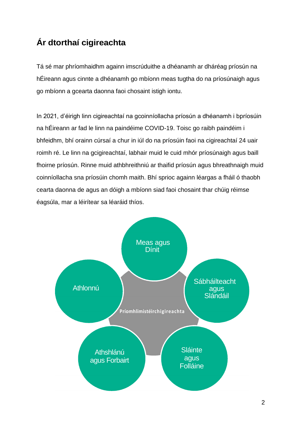# **Ár dtorthaí cigireachta**

Tá sé mar phríomhaidhm againn imscrúduithe a dhéanamh ar dháréag príosún na hÉireann agus cinnte a dhéanamh go mbíonn meas tugtha do na príosúnaigh agus go mbíonn a gcearta daonna faoi chosaint istigh iontu.

In 2021, d'éirigh linn cigireachtaí na gcoinníollacha príosún a dhéanamh i bpríosúin na hÉireann ar fad le linn na paindéime COVID-19. Toisc go raibh paindéim i bhfeidhm, bhí orainn cúrsaí a chur in iúl do na príosúin faoi na cigireachtaí 24 uair roimh ré. Le linn na gcigireachtaí, labhair muid le cuid mhór príosúnaigh agus baill fhoirne príosún. Rinne muid athbhreithniú ar thaifid príosún agus bhreathnaigh muid coinníollacha sna príosúin chomh maith. Bhí sprioc againn léargas a fháil ó thaobh cearta daonna de agus an dóigh a mbíonn siad faoi chosaint thar chúig réimse éagsúla, mar a léirítear sa léaráid thíos.

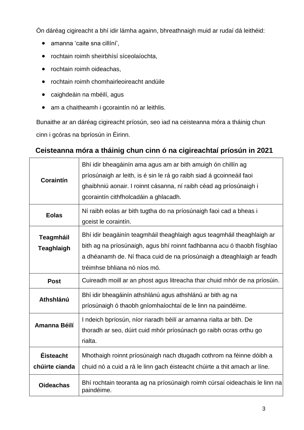Ón dáréag cigireacht a bhí idir lámha againn, bhreathnaigh muid ar rudaí dá leithéid:

- amanna 'caite sna cillíní',
- rochtain roimh sheirbhísí síceolaíochta,
- rochtain roimh oideachas,
- rochtain roimh chomhairleoireacht andúile
- caighdeáin na mbéilí, agus
- am a chaitheamh i gcoraintín nó ar leithlis.

Bunaithe ar an dáréag cigireacht príosún, seo iad na ceisteanna móra a tháinig chun cinn i gcóras na bpríosún in Éirinn.

### **Ceisteanna móra a tháinig chun cinn ó na cigireachtaí príosún in 2021**

| Coraintín                             | Bhí idir bheagáinín ama agus am ar bith amuigh ón chillín ag<br>príosúnaigh ar leith, is é sin le rá go raibh siad á gcoinneáil faoi<br>ghaibhniú aonair. I roinnt cásanna, ní raibh céad ag príosúnaigh i<br>gcoraintín cithfholcadáin a ghlacadh.        |  |
|---------------------------------------|------------------------------------------------------------------------------------------------------------------------------------------------------------------------------------------------------------------------------------------------------------|--|
| <b>Eolas</b>                          | Ní raibh eolas ar bith tugtha do na príosúnaigh faoi cad a bheas i<br>gceist le coraintín.                                                                                                                                                                 |  |
| <b>Teagmháil</b><br><b>Teaghlaigh</b> | Bhí idir beagáinín teagmháil theaghlaigh agus teagmháil theaghlaigh ar<br>bith ag na príosúnaigh, agus bhí roinnt fadhbanna acu ó thaobh físghlao<br>a dhéanamh de. Ní fhaca cuid de na príosúnaigh a dteaghlaigh ar feadh<br>tréimhse bhliana nó níos mó. |  |
| <b>Post</b>                           | Cuireadh moill ar an phost agus litreacha thar chuid mhór de na príosúin.                                                                                                                                                                                  |  |
| Athshlánú                             | Bhí idir bheagáinín athshlánú agus athshlánú ar bith ag na<br>príosúnaigh ó thaobh gníomhaíochtaí de le linn na paindéime.                                                                                                                                 |  |
| Amanna Béilí                          | I ndeich bpríosún, níor riaradh béilí ar amanna rialta ar bith. De<br>thoradh ar seo, dúirt cuid mhór príosúnach go raibh ocras orthu go<br>rialta.                                                                                                        |  |
| <b>Éisteacht</b><br>chúirte cianda    | Mhothaigh roinnt príosúnaigh nach dtugadh cothrom na féinne dóibh a<br>chuid nó a cuid a rá le linn gach éisteacht chúirte a thit amach ar líne.                                                                                                           |  |
| <b>Oideachas</b>                      | Bhí rochtain teoranta ag na príosúnaigh roimh cúrsaí oideachais le linn na<br>paindéime.                                                                                                                                                                   |  |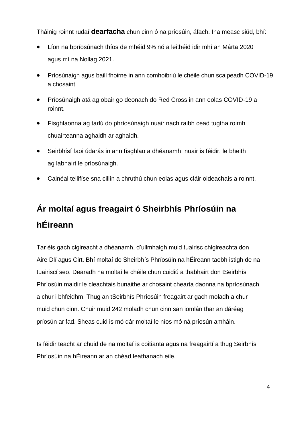Tháinig roinnt rudaí **dearfacha** chun cinn ó na príosúin, áfach. Ina measc siúd, bhí:

- Líon na bpríosúnach thíos de mhéid 9% nó a leithéid idir mhí an Márta 2020 agus mí na Nollag 2021.
- Príosúnaigh agus baill fhoirne in ann comhoibriú le chéile chun scaipeadh COVID-19 a chosaint.
- Príosúnaigh atá ag obair go deonach do Red Cross in ann eolas COVID-19 a roinnt.
- Físghlaonna ag tarlú do phríosúnaigh nuair nach raibh cead tugtha roimh chuairteanna aghaidh ar aghaidh.
- Seirbhísí faoi údarás in ann físghlao a dhéanamh, nuair is féidir, le bheith ag labhairt le príosúnaigh.
- Cainéal teilifíse sna cillín a chruthú chun eolas agus cláir oideachais a roinnt.

# **Ár moltaí agus freagairt ó Sheirbhís Phríosúin na hÉireann**

Tar éis gach cigireacht a dhéanamh, d'ullmhaigh muid tuairisc chigireachta don Aire Dlí agus Cirt. Bhí moltaí do Sheirbhís Phríosúin na hÉireann taobh istigh de na tuairiscí seo. Dearadh na moltaí le chéile chun cuidiú a thabhairt don tSeirbhís Phríosúin maidir le cleachtais bunaithe ar chosaint chearta daonna na bpríosúnach a chur i bhfeidhm. Thug an tSeirbhís Phríosúin freagairt ar gach moladh a chur muid chun cinn. Chuir muid 242 moladh chun cinn san iomlán thar an dáréag príosún ar fad. Sheas cuid is mó dár moltaí le níos mó ná príosún amháin.

Is féidir teacht ar chuid de na moltaí is coitianta agus na freagairtí a thug Seirbhís Phríosúin na hÉireann ar an chéad leathanach eile.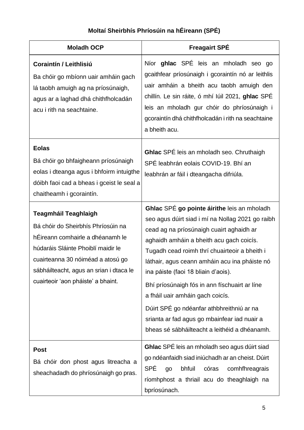#### **Coraintín / Leithlisiú** Ba chóir go mbíonn uair amháin gach lá taobh amuigh ag na príosúnaigh, agus ar a laghad dhá chithfholcadán acu i rith na seachtaine. Níor **ghlac** SPÉ leis an mholadh seo go gcaithfear príosúnaigh i gcoraintín nó ar leithlis uair amháin a bheith acu taobh amuigh den chillín. Le sin ráite, ó mhí Iúil 2021, **ghlac** SPÉ leis an mholadh gur chóir do phríosúnaigh i gcoraintín dhá chithfholcadán i rith na seachtaine a bheith acu. **Eolas** Bá chóir go bhfaigheann príosúnaigh eolas i dteanga agus i bhfoirm intuigthe dóibh faoi cad a bheas i gceist le seal a chaitheamh i gcoraintín. **Ghlac** SPÉ leis an mholadh seo. Chruthaigh SPÉ leabhrán eolais COVID-19. Bhí an leabhrán ar fáil i dteangacha difriúla. **Teagmháil Teaghlaigh** Bá chóir do Sheirbhís Phríosúin na hÉireann comhairle a dhéanamh le húdaráis Sláinte Phoiblí maidir le cuairteanna 30 nóiméad a atosú go sábháilteacht, agus an srian i dtaca le cuairteoir 'aon pháiste' a bhaint. **Ghlac** SPÉ **go pointe áirithe** leis an mholadh seo agus dúirt siad i mí na Nollag 2021 go raibh cead ag na príosúnaigh cuairt aghaidh ar aghaidh amháin a bheith acu gach coicís. Tugadh cead roimh thrí chuairteoir a bheith i láthair, agus ceann amháin acu ina pháiste nó ina páiste (faoi 18 bliain d'aois). Bhí príosúnaigh fós in ann físchuairt ar líne a fháil uair amháin gach coicís. Dúirt SPÉ go ndéanfar athbhreithniú ar na srianta ar fad agus go mbainfear iad nuair a bheas sé sábháilteacht a leithéid a dhéanamh. **Post** Bá chóir don phost agus litreacha a sheachadadh do phríosúnaigh go pras. **Ghlac** SPÉ leis an mholadh seo agus dúirt siad go ndéanfaidh siad iniúchadh ar an cheist. Dúirt SPÉ go bhfuil córas comhfhreagrais ríomhphost a thriail acu do theaghlaigh na

bpríosúnach.

### **Moltaí Sheirbhís Phríosúin na hÉireann (SPÉ)**

**Moladh OCP Freagairt SPÉ**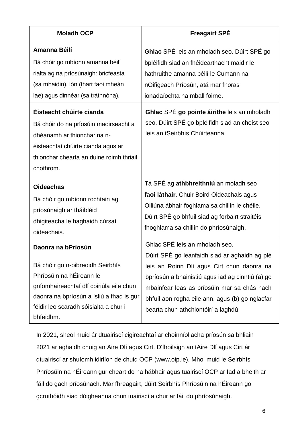| <b>Moladh OCP</b>                                                                                                                                                                               | <b>Freagairt SPÉ</b>                                                                                                            |
|-------------------------------------------------------------------------------------------------------------------------------------------------------------------------------------------------|---------------------------------------------------------------------------------------------------------------------------------|
| Amanna Béilí                                                                                                                                                                                    | Ghlac SPÉ leis an mholadh seo. Dúirt SPÉ go                                                                                     |
| Bá chóir go mbíonn amanna béilí                                                                                                                                                                 | bpléifidh siad an fhéidearthacht maidir le                                                                                      |
| rialta ag na príosúnaigh: bricfeasta                                                                                                                                                            | hathruithe amanna béilí le Cumann na                                                                                            |
| (sa mhaidin), lón (thart faoi mheán                                                                                                                                                             | nOifigeach Príosún, atá mar fhoras                                                                                              |
| lae) agus dinnéar (sa tráthnóna).                                                                                                                                                               | ionadaíochta na mball foirne.                                                                                                   |
| Éisteacht chúirte cianda<br>Bá chóir do na príosúin maoirseacht a<br>dhéanamh ar thionchar na n-<br>éisteachtaí chúirte cianda agus ar<br>thionchar chearta an duine roimh thriail<br>chothrom. | Ghlac SPÉ go pointe áirithe leis an mholadh<br>seo. Dúirt SPÉ go bpléifidh siad an cheist seo<br>leis an tSeirbhís Chúirteanna. |
| <b>Oideachas</b>                                                                                                                                                                                | Tá SPÉ ag athbhreithniú an moladh seo                                                                                           |
| Bá chóir go mbíonn rochtain ag                                                                                                                                                                  | faoi láthair. Chuir Boird Oideachais agus                                                                                       |
| príosúnaigh ar tháibléid                                                                                                                                                                        | Oiliúna ábhair foghlama sa chillín le chéile.                                                                                   |
| dhigiteacha le haghaidh cúrsaí                                                                                                                                                                  | Dúirt SPÉ go bhfuil siad ag forbairt straitéis                                                                                  |
| oideachais.                                                                                                                                                                                     | fhoghlama sa chillín do phríosúnaigh.                                                                                           |
| Daonra na bPríosún                                                                                                                                                                              | Ghlac SPÉ leis an mholadh seo.                                                                                                  |
| Bá chóir go n-oibreoidh Seirbhís                                                                                                                                                                | Dúirt SPÉ go leanfaidh siad ar aghaidh ag plé                                                                                   |
| Phríosúin na hÉireann le                                                                                                                                                                        | leis an Roinn Dlí agus Cirt chun daonra na                                                                                      |
| gníomhaireachtaí dlí coiriúla eile chun                                                                                                                                                         | bpríosún a bhainistiú agus iad ag cinntiú (a) go                                                                                |
| daonra na bpríosún a ísliú a fhad is gur                                                                                                                                                        | mbainfear leas as príosúin mar sa chás nach                                                                                     |
| féidir leo scaradh sóisialta a chur i                                                                                                                                                           | bhfuil aon rogha eile ann, agus (b) go nglacfar                                                                                 |
| bhfeidhm.                                                                                                                                                                                       | bearta chun athchiontóirí a laghdú.                                                                                             |

In 2021, sheol muid ár dtuairiscí cigireachtaí ar choinníollacha príosún sa bhliain 2021 ar aghaidh chuig an Aire Dlí agus Cirt. D'fhoilsigh an tAire Dlí agus Cirt ár dtuairiscí ar shuíomh idirlíon de chuid OCP [\(www.oip.ie\)](http://www.oip.ie/). Mhol muid le Seirbhís Phríosúin na hÉireann gur cheart do na hábhair agus tuairiscí OCP ar fad a bheith ar fáil do gach príosúnach. Mar fhreagairt, dúirt Seirbhís Phríosúin na hÉireann go gcruthóidh siad dóigheanna chun tuairiscí a chur ar fáil do phríosúnaigh.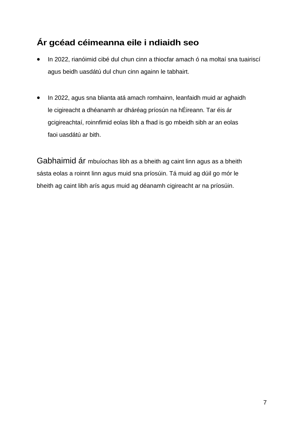# **Ár gcéad céimeanna eile i ndiaidh seo**

- In 2022, rianóimid cibé dul chun cinn a thiocfar amach ó na moltaí sna tuairiscí agus beidh uasdátú dul chun cinn againn le tabhairt.
- In 2022, agus sna blianta atá amach romhainn, leanfaidh muid ar aghaidh le cigireacht a dhéanamh ar dháréag príosún na hÉireann. Tar éis ár gcigireachtaí, roinnfimid eolas libh a fhad is go mbeidh sibh ar an eolas faoi uasdátú ar bith.

Gabhaimid ár mbuíochas libh as a bheith ag caint linn agus as a bheith sásta eolas a roinnt linn agus muid sna príosúin. Tá muid ag dúil go mór le bheith ag caint libh arís agus muid ag déanamh cigireacht ar na príosúin.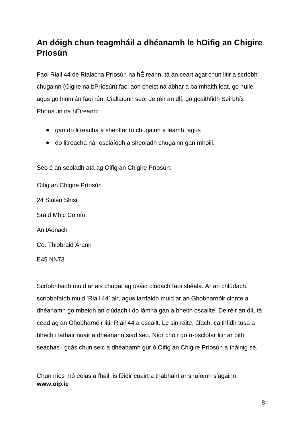# **An dóigh chun teagmháil a dhéanamh le hOifig an Chigire Príosún**

Faoi Riail 44 de Rialacha Príosún na hÉireann, tá an ceart agat chun litir a scríobh chugainn (Cigire na bPríosún) faoi aon cheist ná ábhar a ba mhaith leat, go huile agus go hiomlán faoi rún. Ciallaíonn seo, de réir an dlí, go gcaithfidh Seirbhís Phríosúin na hÉireann:

- gan do litreacha a sheolfar tú chugainn a léamh, agus
- do litreacha nár osclaíodh a sheoladh chugainn gan mhoill.

Seo é an seoladh atá ag Oifig an Chigire Príosún:

Oifig an Chigire Príosún 24 Siúlán Shisil Sráid Mhic Coinín An tAonach Co. Thiobraid Árann

E45 NN73

Scríobhfaidh muid ar ais chugat ag úsáid clúdach faoi shéala. Ar an chlúdach, scríobhfaidh muid 'Riail 44' air, agus iarrfaidh muid ar an Ghobharnóir cinnte a dhéanamh go mbeidh an clúdach i do lámha gan a bheith oscailte. De réir an dlí, tá cead ag an Ghobharnóir litir Riail 44 a oscailt. Le sin ráite, áfach, caithfidh tusa a bheith i láthair nuair a dhéanann siad seo. Níor chóir go n-osclófar litir ar bith seachas i gcás chun seic a dhéanamh gur ó Oifig an Chigire Príosún a tháinig sé.

Chun níos mó eolas a fháil, is féidir cuairt a thabhairt ar shuíomh s'againn: **[www.oip.ie](http://www.oip.ie/)**